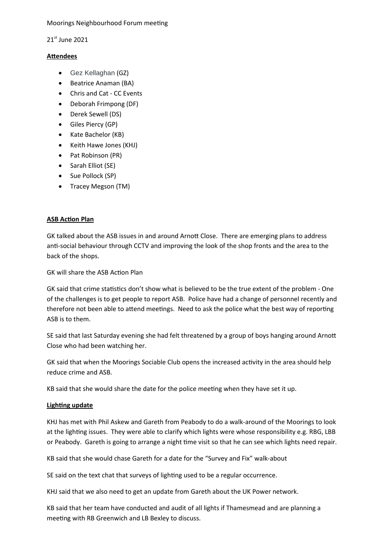Moorings Neighbourhood Forum meeting

21st June 2021

# **Attendees**

- Gez Kellaghan (GZ)
- Beatrice Anaman (BA)
- Chris and Cat CC Events
- Deborah Frimpong (DF)
- Derek Sewell (DS)
- Giles Piercy (GP)
- Kate Bachelor (KB)
- Keith Hawe Jones (KHJ)
- Pat Robinson (PR)
- Sarah Elliot (SE)
- Sue Pollock (SP)
- Tracey Megson (TM)

# **ASB Action Plan**

GK talked about the ASB issues in and around Arnott Close. There are emerging plans to address anti-social behaviour through CCTV and improving the look of the shop fronts and the area to the back of the shops.

GK will share the ASB Action Plan

GK said that crime statistics don't show what is believed to be the true extent of the problem - One of the challenges is to get people to report ASB. Police have had a change of personnel recently and therefore not been able to attend meetings. Need to ask the police what the best way of reporting ASB is to them.

SE said that last Saturday evening she had felt threatened by a group of boys hanging around Arnott Close who had been watching her.

GK said that when the Moorings Sociable Club opens the increased activity in the area should help reduce crime and ASB.

KB said that she would share the date for the police meeting when they have set it up.

# **Lighting update**

KHJ has met with Phil Askew and Gareth from Peabody to do a walk-around of the Moorings to look at the lighting issues. They were able to clarify which lights were whose responsibility e.g. RBG, LBB or Peabody. Gareth is going to arrange a night time visit so that he can see which lights need repair.

KB said that she would chase Gareth for a date for the "Survey and Fix" walk-about

SE said on the text chat that surveys of lighting used to be a regular occurrence.

KHJ said that we also need to get an update from Gareth about the UK Power network.

KB said that her team have conducted and audit of all lights if Thamesmead and are planning a meeting with RB Greenwich and LB Bexley to discuss.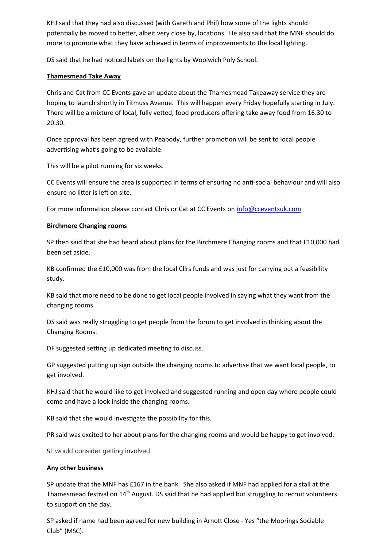KHJ said that they had also discussed (with Gareth and Phil) how some of the lights should potentially be moved to better, albeit very close by, locations. He also said that the MNF should do more to promote what they have achieved in terms of improvements to the local lighting,

DS said that he had noticed labels on the lights by Woolwich Poly School.

### **Thamesmead Take Away**

Chris and Cat from CC Events gave an update about the Thamesmead Takeaway service they are hoping to launch shortly in Titmuss Avenue. This will happen every Friday hopefully starting in July. There will be a mixture of local, fully vetted, food producers offering take away food from 16.30 to 20.30.

Once approval has been agreed with Peabody, further promotion will be sent to local people advertising what's going to be available.

This will be a pilot running for six weeks.

CC Events will ensure the area is supported in terms of ensuring no anti-social behaviour and will also ensure no litter is left on site.

For more information please contact Chris or Cat at CC Events on  $info@cceventsuk.com$ 

#### **Birchmere Changing rooms**

SP then said that she had heard about plans for the Birchmere Changing rooms and that £10,000 had been set aside.

KB confirmed the £10,000 was from the local Cllrs funds and was just for carrying out a feasibility study.

KB said that more need to be done to get local people involved in saying what they want from the changing rooms.

DS said was really struggling to get people from the forum to get involved in thinking about the Changing Rooms.

DF suggested setting up dedicated meeting to discuss.

GP suggested putting up sign outside the changing rooms to advertise that we want local people, to get involved.

KHJ said that he would like to get involved and suggested running and open day where people could come and have a look inside the changing rooms.

KB said that she would investigate the possibility for this.

PR said was excited to her about plans for the changing rooms and would be happy to get involved.

SE would consider getting involved.

#### **Any other business**

SP update that the MNF has £167 in the bank. She also asked if MNF had applied for a stall at the Thamesmead festival on 14<sup>th</sup> August. DS said that he had applied but struggling to recruit volunteers to support on the day.

SP asked if name had been agreed for new building in Arnott Close - Yes "the Moorings Sociable Club" (MSC).